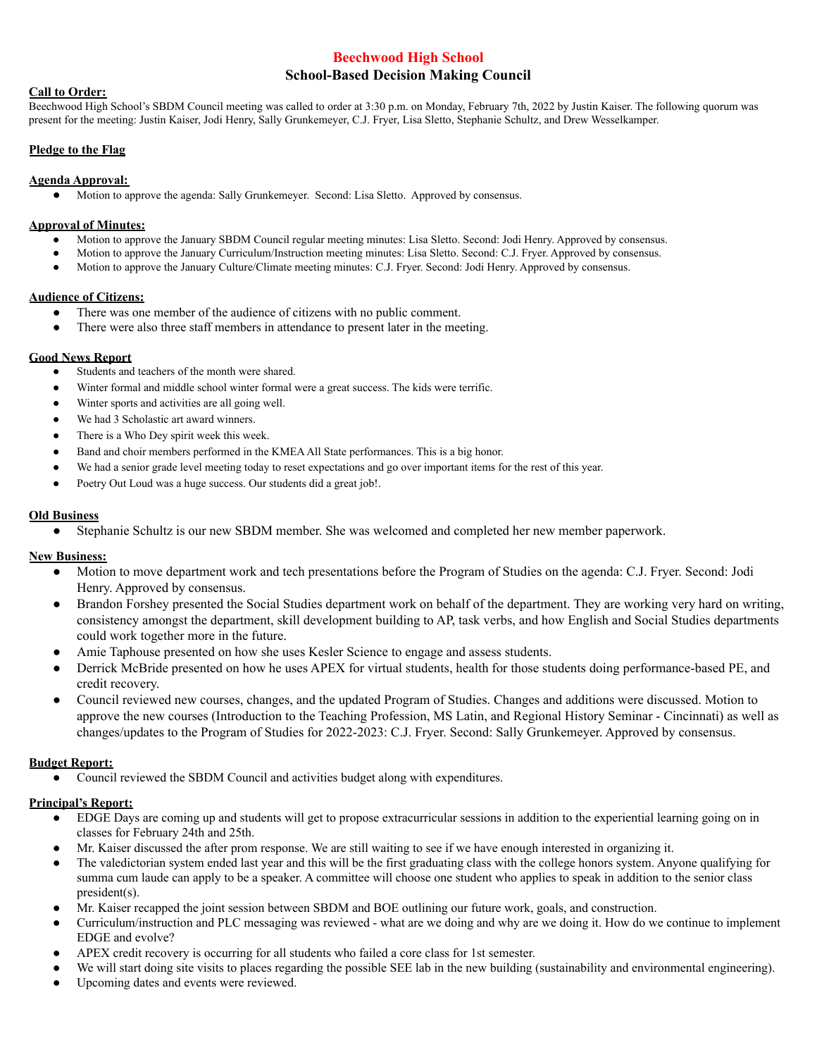# **Beechwood High School**

# **School-Based Decision Making Council**

## **Call to Order:**

Beechwood High School's SBDM Council meeting was called to order at 3:30 p.m. on Monday, February 7th, 2022 by Justin Kaiser. The following quorum was present for the meeting: Justin Kaiser, Jodi Henry, Sally Grunkemeyer, C.J. Fryer, Lisa Sletto, Stephanie Schultz, and Drew Wesselkamper.

## **Pledge to the Flag**

### **Agenda Approval:**

● Motion to approve the agenda: Sally Grunkemeyer. Second: Lisa Sletto. Approved by consensus.

#### **Approval of Minutes:**

- Motion to approve the January SBDM Council regular meeting minutes: Lisa Sletto. Second: Jodi Henry. Approved by consensus.
- Motion to approve the January Curriculum/Instruction meeting minutes: Lisa Sletto. Second: C.J. Fryer. Approved by consensus.
- Motion to approve the January Culture/Climate meeting minutes: C.J. Fryer. Second: Jodi Henry. Approved by consensus.

### **Audience of Citizens:**

- There was one member of the audience of citizens with no public comment.
- There were also three staff members in attendance to present later in the meeting.

#### **Good News Report**

- Students and teachers of the month were shared.
- Winter formal and middle school winter formal were a great success. The kids were terrific.
- Winter sports and activities are all going well.
- We had 3 Scholastic art award winners.
- There is a Who Dey spirit week this week.
- Band and choir members performed in the KMEAAll State performances. This is a big honor.
- We had a senior grade level meeting today to reset expectations and go over important items for the rest of this year.
- Poetry Out Loud was a huge success. Our students did a great job!.

## **Old Business**

● Stephanie Schultz is our new SBDM member. She was welcomed and completed her new member paperwork.

#### **New Business:**

- Motion to move department work and tech presentations before the Program of Studies on the agenda: C.J. Fryer. Second: Jodi Henry. Approved by consensus.
- Brandon Forshey presented the Social Studies department work on behalf of the department. They are working very hard on writing, consistency amongst the department, skill development building to AP, task verbs, and how English and Social Studies departments could work together more in the future.
- Amie Taphouse presented on how she uses Kesler Science to engage and assess students.
- Derrick McBride presented on how he uses APEX for virtual students, health for those students doing performance-based PE, and credit recovery.
- Council reviewed new courses, changes, and the updated Program of Studies. Changes and additions were discussed. Motion to approve the new courses (Introduction to the Teaching Profession, MS Latin, and Regional History Seminar - Cincinnati) as well as changes/updates to the Program of Studies for 2022-2023: C.J. Fryer. Second: Sally Grunkemeyer. Approved by consensus.

#### **Budget Report:**

● Council reviewed the SBDM Council and activities budget along with expenditures.

#### **Principal's Report:**

- EDGE Days are coming up and students will get to propose extracurricular sessions in addition to the experiential learning going on in classes for February 24th and 25th.
- Mr. Kaiser discussed the after prom response. We are still waiting to see if we have enough interested in organizing it.
- The valedictorian system ended last year and this will be the first graduating class with the college honors system. Anyone qualifying for summa cum laude can apply to be a speaker. A committee will choose one student who applies to speak in addition to the senior class president(s).
- Mr. Kaiser recapped the joint session between SBDM and BOE outlining our future work, goals, and construction.
- Curriculum/instruction and PLC messaging was reviewed what are we doing and why are we doing it. How do we continue to implement EDGE and evolve?
- APEX credit recovery is occurring for all students who failed a core class for 1st semester.
- We will start doing site visits to places regarding the possible SEE lab in the new building (sustainability and environmental engineering).
- Upcoming dates and events were reviewed.